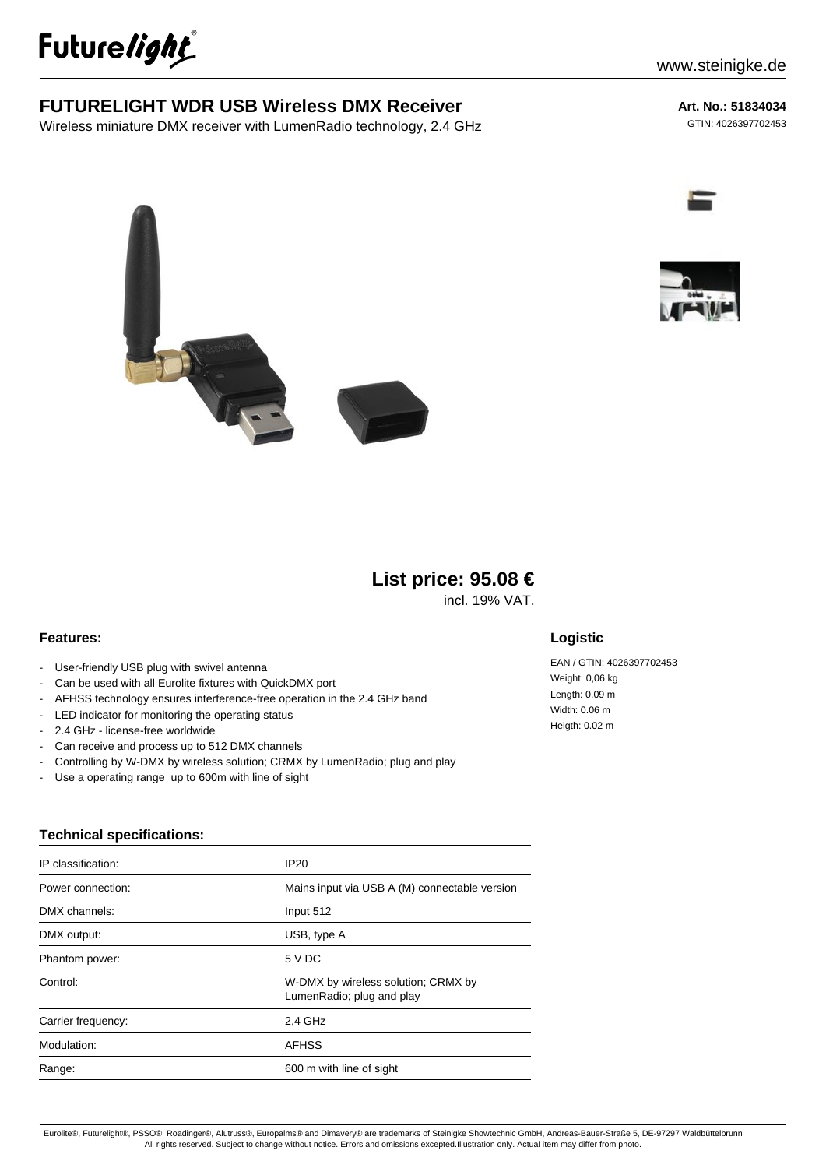

# **FUTURELIGHT WDR USB Wireless DMX Receiver**

Wireless miniature DMX receiver with LumenRadio technology, 2.4 GHz

# **Art. No.: 51834034**

GTIN: 4026397702453





incl. 19% VAT.

#### **Features:**

- User-friendly USB plug with swivel antenna
- Can be used with all Eurolite fixtures with QuickDMX port
- AFHSS technology ensures interference-free operation in the 2.4 GHz band
- LED indicator for monitoring the operating status
- 2.4 GHz license-free worldwide
- Can receive and process up to 512 DMX channels
- Controlling by W-DMX by wireless solution; CRMX by LumenRadio; plug and play
- Use a operating range up to 600m with line of sight

## **Technical specifications:**

| IP classification: | IP20                                                             |
|--------------------|------------------------------------------------------------------|
| Power connection:  | Mains input via USB A (M) connectable version                    |
| DMX channels:      | Input 512                                                        |
| DMX output:        | USB, type A                                                      |
| Phantom power:     | 5 V DC                                                           |
| Control:           | W-DMX by wireless solution; CRMX by<br>LumenRadio; plug and play |
| Carrier frequency: | 2,4 GHz                                                          |
| Modulation:        | <b>AFHSS</b>                                                     |
| Range:             | 600 m with line of sight                                         |

## **Logistic**

EAN / GTIN: 4026397702453 Weight: 0,06 kg Length: 0.09 m Width: 0.06 m Heigth: 0.02 m

Eurolite®, Futurelight®, PSSO®, Roadinger®, Alutruss®, Europalms® and Dimavery® are trademarks of Steinigke Showtechnic GmbH, Andreas-Bauer-Straße 5, DE-97297 Waldbüttelbrunn All rights reserved. Subject to change without notice. Errors and omissions excepted.Illustration only. Actual item may differ from photo.